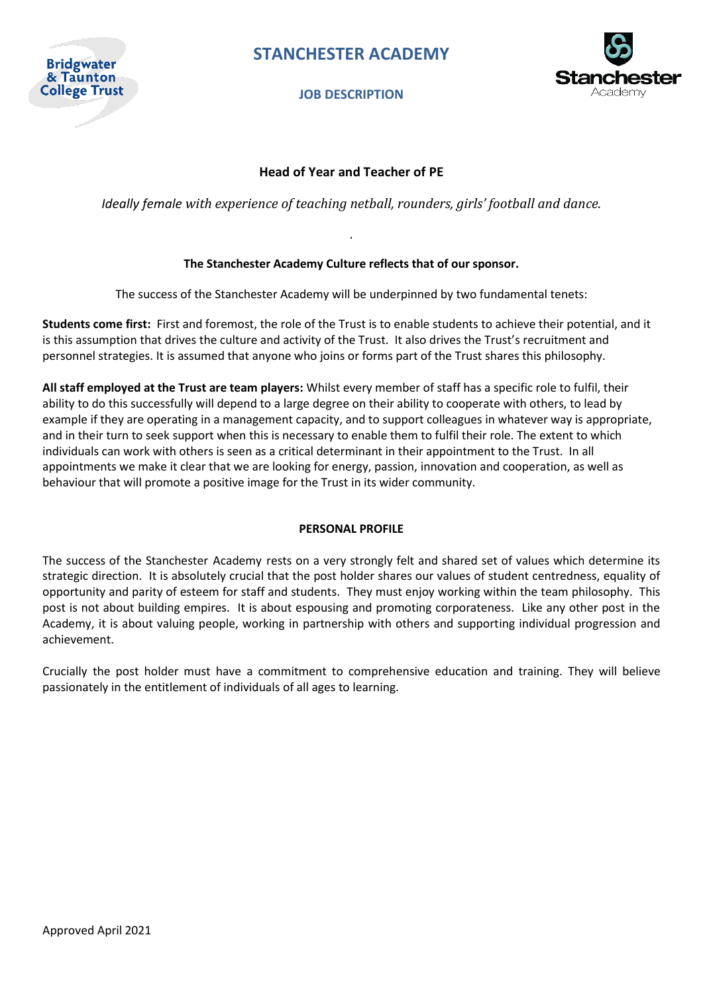

**JOB DESCRIPTION**



### **Head of Year and Teacher of PE**

*Ideally female with experience of teaching netball, rounders, girls' football and dance.*

### **The Stanchester Academy Culture reflects that of our sponsor.**

.

The success of the Stanchester Academy will be underpinned by two fundamental tenets:

**Students come first:** First and foremost, the role of the Trust is to enable students to achieve their potential, and it is this assumption that drives the culture and activity of the Trust. It also drives the Trust's recruitment and personnel strategies. It is assumed that anyone who joins or forms part of the Trust shares this philosophy.

**All staff employed at the Trust are team players:** Whilst every member of staff has a specific role to fulfil, their ability to do this successfully will depend to a large degree on their ability to cooperate with others, to lead by example if they are operating in a management capacity, and to support colleagues in whatever way is appropriate, and in their turn to seek support when this is necessary to enable them to fulfil their role. The extent to which individuals can work with others is seen as a critical determinant in their appointment to the Trust. In all appointments we make it clear that we are looking for energy, passion, innovation and cooperation, as well as behaviour that will promote a positive image for the Trust in its wider community.

### **PERSONAL PROFILE**

The success of the Stanchester Academy rests on a very strongly felt and shared set of values which determine its strategic direction. It is absolutely crucial that the post holder shares our values of student centredness, equality of opportunity and parity of esteem for staff and students. They must enjoy working within the team philosophy. This post is not about building empires. It is about espousing and promoting corporateness. Like any other post in the Academy, it is about valuing people, working in partnership with others and supporting individual progression and achievement.

Crucially the post holder must have a commitment to comprehensive education and training. They will believe passionately in the entitlement of individuals of all ages to learning.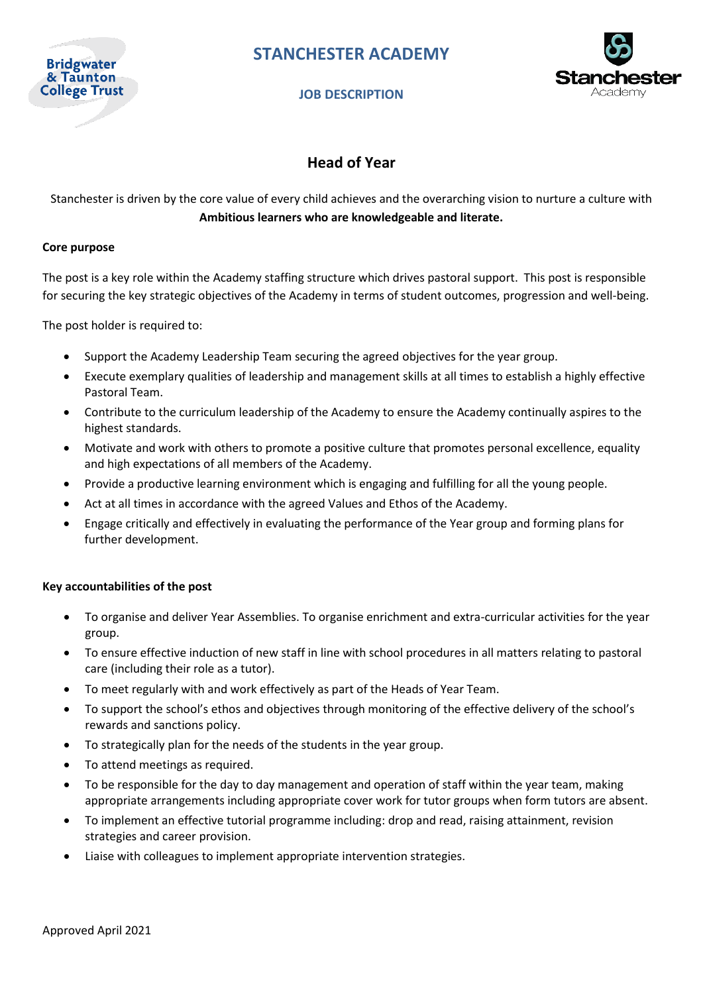

### **JOB DESCRIPTION**



## **Head of Year**

Stanchester is driven by the core value of every child achieves and the overarching vision to nurture a culture with **Ambitious learners who are knowledgeable and literate.**

### **Core purpose**

The post is a key role within the Academy staffing structure which drives pastoral support. This post is responsible for securing the key strategic objectives of the Academy in terms of student outcomes, progression and well-being.

The post holder is required to:

- Support the Academy Leadership Team securing the agreed objectives for the year group.
- Execute exemplary qualities of leadership and management skills at all times to establish a highly effective Pastoral Team.
- Contribute to the curriculum leadership of the Academy to ensure the Academy continually aspires to the highest standards.
- Motivate and work with others to promote a positive culture that promotes personal excellence, equality and high expectations of all members of the Academy.
- Provide a productive learning environment which is engaging and fulfilling for all the young people.
- Act at all times in accordance with the agreed Values and Ethos of the Academy.
- Engage critically and effectively in evaluating the performance of the Year group and forming plans for further development.

#### **Key accountabilities of the post**

- To organise and deliver Year Assemblies. To organise enrichment and extra-curricular activities for the year group.
- To ensure effective induction of new staff in line with school procedures in all matters relating to pastoral care (including their role as a tutor).
- To meet regularly with and work effectively as part of the Heads of Year Team.
- To support the school's ethos and objectives through monitoring of the effective delivery of the school's rewards and sanctions policy.
- To strategically plan for the needs of the students in the year group.
- To attend meetings as required.
- To be responsible for the day to day management and operation of staff within the year team, making appropriate arrangements including appropriate cover work for tutor groups when form tutors are absent.
- To implement an effective tutorial programme including: drop and read, raising attainment, revision strategies and career provision.
- Liaise with colleagues to implement appropriate intervention strategies.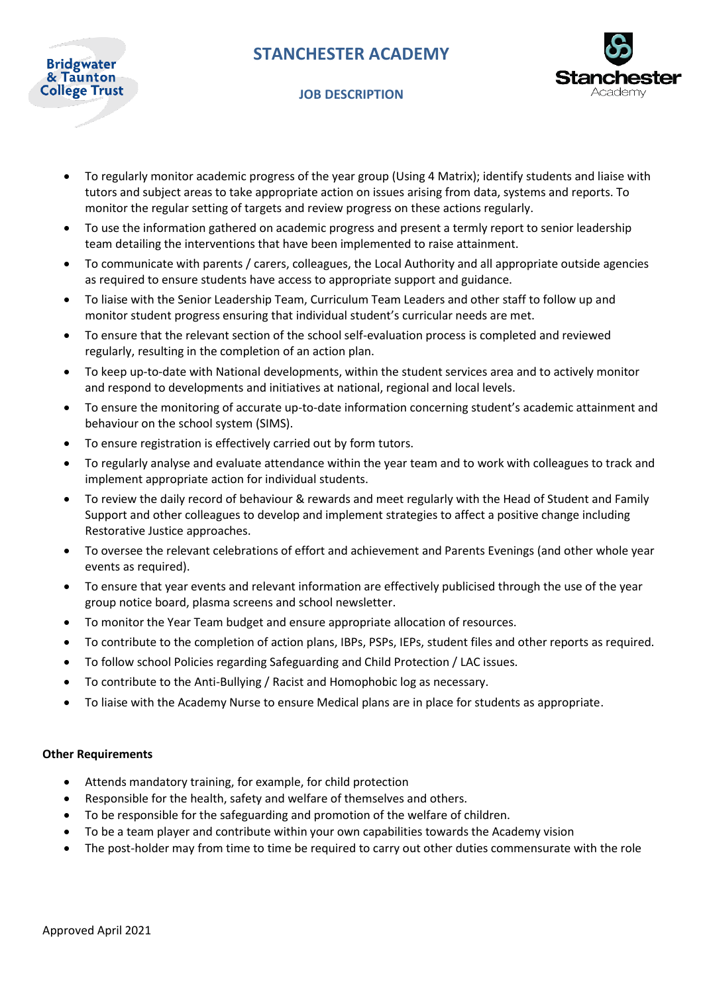

### **JOB DESCRIPTION**



- To regularly monitor academic progress of the year group (Using 4 Matrix); identify students and liaise with tutors and subject areas to take appropriate action on issues arising from data, systems and reports. To monitor the regular setting of targets and review progress on these actions regularly.
- To use the information gathered on academic progress and present a termly report to senior leadership team detailing the interventions that have been implemented to raise attainment.
- To communicate with parents / carers, colleagues, the Local Authority and all appropriate outside agencies as required to ensure students have access to appropriate support and guidance.
- To liaise with the Senior Leadership Team, Curriculum Team Leaders and other staff to follow up and monitor student progress ensuring that individual student's curricular needs are met.
- To ensure that the relevant section of the school self-evaluation process is completed and reviewed regularly, resulting in the completion of an action plan.
- To keep up-to-date with National developments, within the student services area and to actively monitor and respond to developments and initiatives at national, regional and local levels.
- To ensure the monitoring of accurate up-to-date information concerning student's academic attainment and behaviour on the school system (SIMS).
- To ensure registration is effectively carried out by form tutors.
- To regularly analyse and evaluate attendance within the year team and to work with colleagues to track and implement appropriate action for individual students.
- To review the daily record of behaviour & rewards and meet regularly with the Head of Student and Family Support and other colleagues to develop and implement strategies to affect a positive change including Restorative Justice approaches.
- To oversee the relevant celebrations of effort and achievement and Parents Evenings (and other whole year events as required).
- To ensure that year events and relevant information are effectively publicised through the use of the year group notice board, plasma screens and school newsletter.
- To monitor the Year Team budget and ensure appropriate allocation of resources.
- To contribute to the completion of action plans, IBPs, PSPs, IEPs, student files and other reports as required.
- To follow school Policies regarding Safeguarding and Child Protection / LAC issues.
- To contribute to the Anti-Bullying / Racist and Homophobic log as necessary.
- To liaise with the Academy Nurse to ensure Medical plans are in place for students as appropriate.

### **Other Requirements**

- Attends mandatory training, for example, for child protection
- Responsible for the health, safety and welfare of themselves and others.
- To be responsible for the safeguarding and promotion of the welfare of children.
- To be a team player and contribute within your own capabilities towards the Academy vision
- The post-holder may from time to time be required to carry out other duties commensurate with the role